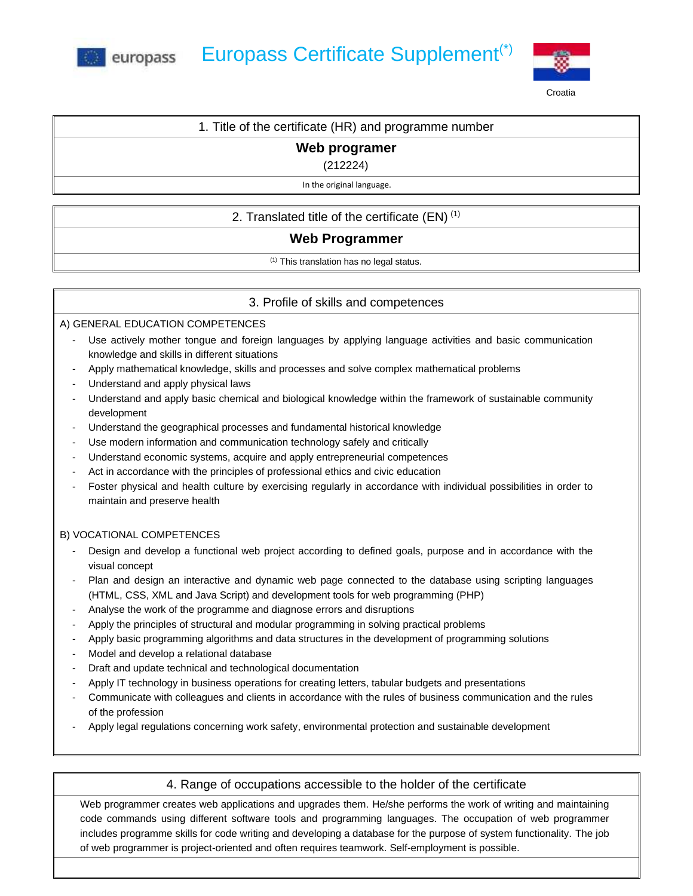



# 1. Title of the certificate (HR) and programme number

## **Web programer**

(212224)

#### In the original language.

## 2. Translated title of the certificate  $(EN)^{(1)}$

### **Web Programmer**

(1) This translation has no legal status.

### 3. Profile of skills and competences

#### A) GENERAL EDUCATION COMPETENCES

- Use actively mother tongue and foreign languages by applying language activities and basic communication knowledge and skills in different situations
- Apply mathematical knowledge, skills and processes and solve complex mathematical problems
- Understand and apply physical laws
- Understand and apply basic chemical and biological knowledge within the framework of sustainable community development
- Understand the geographical processes and fundamental historical knowledge
- Use modern information and communication technology safely and critically
- Understand economic systems, acquire and apply entrepreneurial competences
- Act in accordance with the principles of professional ethics and civic education
- Foster physical and health culture by exercising regularly in accordance with individual possibilities in order to maintain and preserve health

## B) VOCATIONAL COMPETENCES

- Design and develop a functional web project according to defined goals, purpose and in accordance with the visual concept
- Plan and design an interactive and dynamic web page connected to the database using scripting languages (HTML, CSS, XML and Java Script) and development tools for web programming (PHP)
- Analyse the work of the programme and diagnose errors and disruptions
- Apply the principles of structural and modular programming in solving practical problems
- Apply basic programming algorithms and data structures in the development of programming solutions
- Model and develop a relational database
- Draft and update technical and technological documentation
- Apply IT technology in business operations for creating letters, tabular budgets and presentations
- Communicate with colleagues and clients in accordance with the rules of business communication and the rules of the profession
- Apply legal regulations concerning work safety, environmental protection and sustainable development

### 4. Range of occupations accessible to the holder of the certificate

Web programmer creates web applications and upgrades them. He/she performs the work of writing and maintaining code commands using different software tools and programming languages. The occupation of web programmer includes programme skills for code writing and developing a database for the purpose of system functionality. The job of web programmer is project-oriented and often requires teamwork. Self-employment is possible.